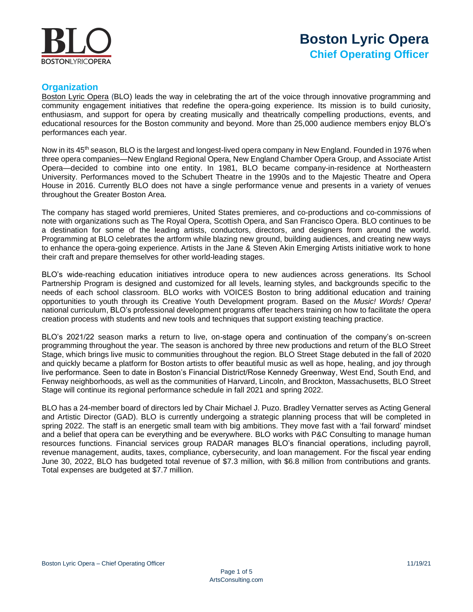

# **Boston Lyric Opera Chief Operating Officer**

# **Organization**

[Boston Lyric Opera](https://blo.org/) (BLO) leads the way in celebrating the art of the voice through innovative programming and community engagement initiatives that redefine the opera-going experience. Its mission is to build curiosity, enthusiasm, and support for opera by creating musically and theatrically compelling productions, events, and educational resources for the Boston community and beyond. More than 25,000 audience members enjoy BLO's performances each year.

Now in its 45<sup>th</sup> season, BLO is the largest and longest-lived opera company in New England. Founded in 1976 when three opera companies—New England Regional Opera, New England Chamber Opera Group, and Associate Artist Opera—decided to combine into one entity. In 1981, BLO became company-in-residence at Northeastern University. Performances moved to the Schubert Theatre in the 1990s and to the Majestic Theatre and Opera House in 2016. Currently BLO does not have a single performance venue and presents in a variety of venues throughout the Greater Boston Area.

The company has staged world premieres, United States premieres, and co-productions and co-commissions of note with organizations such as The Royal Opera, Scottish Opera, and San Francisco Opera. BLO continues to be a destination for some of the leading artists, conductors, directors, and designers from around the world. Programming at BLO celebrates the artform while blazing new ground, building audiences, and creating new ways to enhance the opera-going experience. Artists in the Jane & Steven Akin Emerging Artists initiative work to hone their craft and prepare themselves for other world-leading stages.

BLO's wide-reaching education initiatives introduce opera to new audiences across generations. Its School Partnership Program is designed and customized for all levels, learning styles, and backgrounds specific to the needs of each school classroom. BLO works with VOICES Boston to bring additional education and training opportunities to youth through its Creative Youth Development program. Based on the *Music! Words! Opera!* national curriculum, BLO's professional development programs offer teachers training on how to facilitate the opera creation process with students and new tools and techniques that support existing teaching practice.

BLO's 2021/22 season marks a return to live, on-stage opera and continuation of the company's on-screen programming throughout the year. The season is anchored by three new productions and return of the BLO Street Stage, which brings live music to communities throughout the region. BLO Street Stage debuted in the fall of 2020 and quickly became a platform for Boston artists to offer beautiful music as well as hope, healing, and joy through live performance. Seen to date in Boston's Financial District/Rose Kennedy Greenway, West End, South End, and Fenway neighborhoods, as well as the communities of Harvard, Lincoln, and Brockton, Massachusetts, BLO Street Stage will continue its regional performance schedule in fall 2021 and spring 2022.

BLO has a 24-member board of directors led by Chair Michael J. Puzo. Bradley Vernatter serves as Acting General and Artistic Director (GAD). BLO is currently undergoing a strategic planning process that will be completed in spring 2022. The staff is an energetic small team with big ambitions. They move fast with a 'fail forward' mindset and a belief that opera can be everything and be everywhere. BLO works with P&C Consulting to manage human resources functions. Financial services group RADAR manages BLO's financial operations, including payroll, revenue management, audits, taxes, compliance, cybersecurity, and loan management. For the fiscal year ending June 30, 2022, BLO has budgeted total revenue of \$7.3 million, with \$6.8 million from contributions and grants. Total expenses are budgeted at \$7.7 million.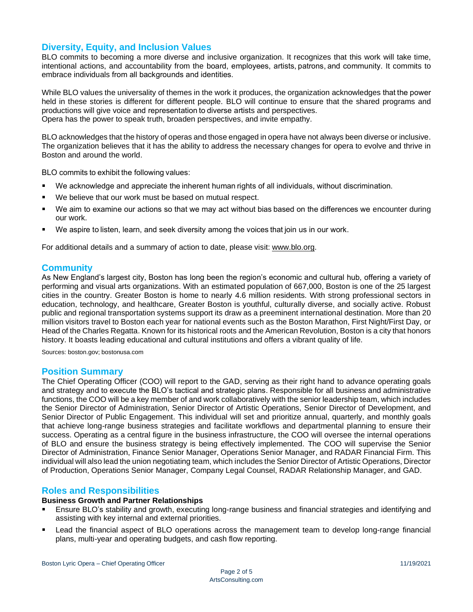# **Diversity, Equity, and Inclusion Values**

BLO commits to becoming a more diverse and inclusive organization. It recognizes that this work will take time, intentional actions, and accountability from the board, employees, artists, patrons, and community. It commits to embrace individuals from all backgrounds and identities. 

While BLO values the universality of themes in the work it produces, the organization acknowledges that the power held in these stories is different for different people. BLO will continue to ensure that the shared programs and productions will give voice and representation to diverse artists and perspectives. Opera has the power to speak truth, broaden perspectives, and invite empathy.

BLO acknowledges that the history of operas and those engaged in opera have not always been diverse or inclusive. The organization believes that it has the ability to address the necessary changes for opera to evolve and thrive in Boston and around the world.

BLO commits to exhibit the following values:

- We acknowledge and appreciate the inherent human rights of all individuals, without discrimination.
- We believe that our work must be based on mutual respect.
- We aim to examine our actions so that we may act without bias based on the differences we encounter during our work.
- We aspire to listen, learn, and seek diversity among the voices that join us in our work.

For additional details and a summary of action to date, please visit: [www.blo.org.](https://blo.org/)

## **Community**

As New England's largest city, Boston has long been the region's economic and cultural hub, offering a variety of performing and visual arts organizations. With an estimated population of 667,000, Boston is one of the 25 largest cities in the country. Greater Boston is home to nearly 4.6 million residents. With strong professional sectors in education, technology, and healthcare, Greater Boston is youthful, culturally diverse, and socially active. Robust public and regional transportation systems support its draw as a preeminent international destination. More than 20 million visitors travel to Boston each year for national events such as the Boston Marathon, First Night/First Day, or Head of the Charles Regatta. Known for its historical roots and the American Revolution, Boston is a city that honors history. It boasts leading educational and cultural institutions and offers a vibrant quality of life.

Sources: boston.gov; bostonusa.com

#### **Position Summary**

The Chief Operating Officer (COO) will report to the GAD, serving as their right hand to advance operating goals and strategy and to execute the BLO's tactical and strategic plans. Responsible for all business and administrative functions, the COO will be a key member of and work collaboratively with the senior leadership team, which includes the Senior Director of Administration, Senior Director of Artistic Operations, Senior Director of Development, and Senior Director of Public Engagement. This individual will set and prioritize annual, quarterly, and monthly goals that achieve long-range business strategies and facilitate workflows and departmental planning to ensure their success. Operating as a central figure in the business infrastructure, the COO will oversee the internal operations of BLO and ensure the business strategy is being effectively implemented. The COO will supervise the Senior Director of Administration, Finance Senior Manager, Operations Senior Manager, and RADAR Financial Firm. This individual will also lead the union negotiating team, which includes the Senior Director of Artistic Operations, Director of Production, Operations Senior Manager, Company Legal Counsel, RADAR Relationship Manager, and GAD.

### **Roles and Responsibilities**

#### **Business Growth and Partner Relationships**

- Ensure BLO's stability and growth, executing long-range business and financial strategies and identifying and assisting with key internal and external priorities.
- Lead the financial aspect of BLO operations across the management team to develop long-range financial plans, multi-year and operating budgets, and cash flow reporting.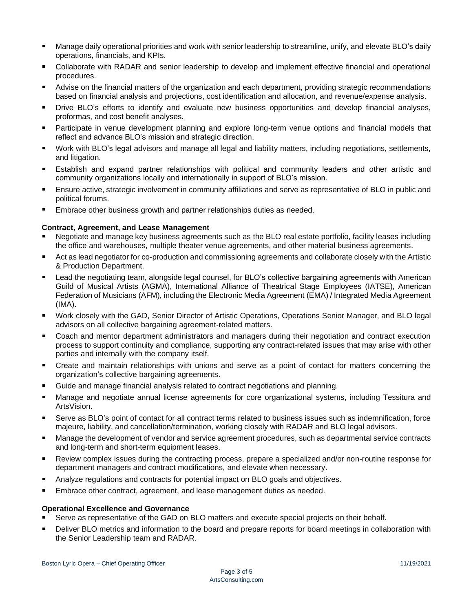- Manage daily operational priorities and work with senior leadership to streamline, unify, and elevate BLO's daily operations, financials, and KPIs.
- Collaborate with RADAR and senior leadership to develop and implement effective financial and operational procedures.
- Advise on the financial matters of the organization and each department, providing strategic recommendations based on financial analysis and projections, cost identification and allocation, and revenue/expense analysis.
- Drive BLO's efforts to identify and evaluate new business opportunities and develop financial analyses, proformas, and cost benefit analyses.
- Participate in venue development planning and explore long-term venue options and financial models that reflect and advance BLO's mission and strategic direction.
- Work with BLO's legal advisors and manage all legal and liability matters, including negotiations, settlements, ٠ and litigation.
- Establish and expand partner relationships with political and community leaders and other artistic and community organizations locally and internationally in support of BLO's mission.
- Ensure active, strategic involvement in community affiliations and serve as representative of BLO in public and political forums.
- Embrace other business growth and partner relationships duties as needed.

#### **Contract, Agreement, and Lease Management**

- Negotiate and manage key business agreements such as the BLO real estate portfolio, facility leases including the office and warehouses, multiple theater venue agreements, and other material business agreements.
- Act as lead negotiator for co-production and commissioning agreements and collaborate closely with the Artistic & Production Department.
- Lead the negotiating team, alongside legal counsel, for BLO's collective bargaining agreements with American Guild of Musical Artists (AGMA), International Alliance of Theatrical Stage Employees (IATSE), American Federation of Musicians (AFM), including the Electronic Media Agreement (EMA) / Integrated Media Agreement (IMA).
- Work closely with the GAD, Senior Director of Artistic Operations, Operations Senior Manager, and BLO legal ٠ advisors on all collective bargaining agreement-related matters.
- Coach and mentor department administrators and managers during their negotiation and contract execution process to support continuity and compliance, supporting any contract-related issues that may arise with other parties and internally with the company itself.
- Create and maintain relationships with unions and serve as a point of contact for matters concerning the organization's collective bargaining agreements.
- Guide and manage financial analysis related to contract negotiations and planning.
- Manage and negotiate annual license agreements for core organizational systems, including Tessitura and ArtsVision.
- Serve as BLO's point of contact for all contract terms related to business issues such as indemnification, force majeure, liability, and cancellation/termination, working closely with RADAR and BLO legal advisors.
- Manage the development of vendor and service agreement procedures, such as departmental service contracts and long-term and short-term equipment leases.
- Review complex issues during the contracting process, prepare a specialized and/or non-routine response for ٠ department managers and contract modifications, and elevate when necessary.
- Analyze regulations and contracts for potential impact on BLO goals and objectives.
- Embrace other contract, agreement, and lease management duties as needed.

#### **Operational Excellence and Governance**

- Serve as representative of the GAD on BLO matters and execute special projects on their behalf.
- Deliver BLO metrics and information to the board and prepare reports for board meetings in collaboration with the Senior Leadership team and RADAR.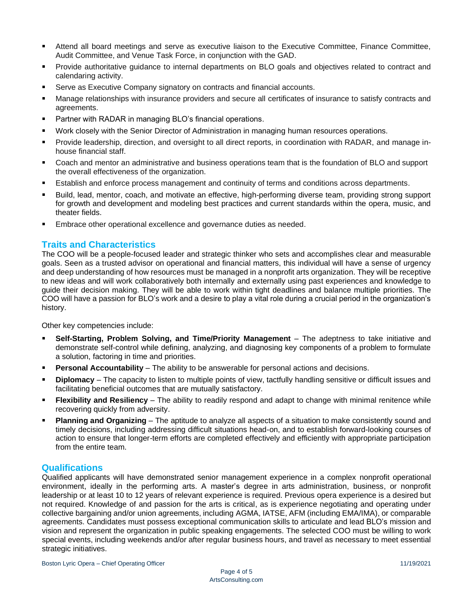- Attend all board meetings and serve as executive liaison to the Executive Committee, Finance Committee, Audit Committee, and Venue Task Force, in conjunction with the GAD.
- Provide authoritative guidance to internal departments on BLO goals and objectives related to contract and ٠ calendaring activity.
- Serve as Executive Company signatory on contracts and financial accounts.
- Manage relationships with insurance providers and secure all certificates of insurance to satisfy contracts and agreements.
- Partner with RADAR in managing BLO's financial operations.
- Work closely with the Senior Director of Administration in managing human resources operations.
- Provide leadership, direction, and oversight to all direct reports, in coordination with RADAR, and manage inhouse financial staff.
- Coach and mentor an administrative and business operations team that is the foundation of BLO and support the overall effectiveness of the organization.
- Establish and enforce process management and continuity of terms and conditions across departments.
- Build, lead, mentor, coach, and motivate an effective, high-performing diverse team, providing strong support for growth and development and modeling best practices and current standards within the opera, music, and theater fields.
- Embrace other operational excellence and governance duties as needed.

## **Traits and Characteristics**

The COO will be a people-focused leader and strategic thinker who sets and accomplishes clear and measurable goals. Seen as a trusted advisor on operational and financial matters, this individual will have a sense of urgency and deep understanding of how resources must be managed in a nonprofit arts organization. They will be receptive to new ideas and will work collaboratively both internally and externally using past experiences and knowledge to guide their decision making. They will be able to work within tight deadlines and balance multiple priorities. The COO will have a passion for BLO's work and a desire to play a vital role during a crucial period in the organization's history.

Other key competencies include:

- **Self-Starting, Problem Solving, and Time/Priority Management** The adeptness to take initiative and demonstrate self-control while defining, analyzing, and diagnosing key components of a problem to formulate a solution, factoring in time and priorities.
- **Personal Accountability** The ability to be answerable for personal actions and decisions.
- **Diplomacy**  The capacity to listen to multiple points of view, tactfully handling sensitive or difficult issues and facilitating beneficial outcomes that are mutually satisfactory.
- **Flexibility and Resiliency** The ability to readily respond and adapt to change with minimal renitence while recovering quickly from adversity.
- **Planning and Organizing**  The aptitude to analyze all aspects of a situation to make consistently sound and timely decisions, including addressing difficult situations head-on, and to establish forward-looking courses of action to ensure that longer-term efforts are completed effectively and efficiently with appropriate participation from the entire team.

## **Qualifications**

Qualified applicants will have demonstrated senior management experience in a complex nonprofit operational environment, ideally in the performing arts. A master's degree in arts administration, business, or nonprofit leadership or at least 10 to 12 years of relevant experience is required. Previous opera experience is a desired but not required. Knowledge of and passion for the arts is critical, as is experience negotiating and operating under collective bargaining and/or union agreements, including AGMA, IATSE, AFM (including EMA/IMA), or comparable agreements. Candidates must possess exceptional communication skills to articulate and lead BLO's mission and vision and represent the organization in public speaking engagements. The selected COO must be willing to work special events, including weekends and/or after regular business hours, and travel as necessary to meet essential strategic initiatives.